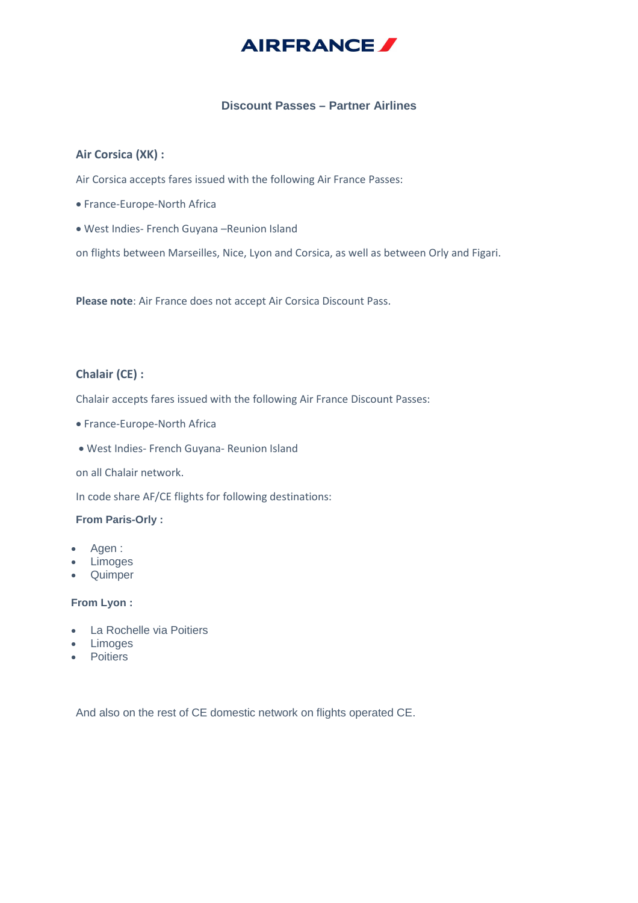

## **Discount Passes – Partner Airlines**

### **Air Corsica (XK) :**

Air Corsica accepts fares issued with the following Air France Passes:

- France-Europe-North Africa
- West Indies- French Guyana –Reunion Island

on flights between Marseilles, Nice, Lyon and Corsica, as well as between Orly and Figari.

**Please note**: Air France does not accept Air Corsica Discount Pass.

### **Chalair (CE) :**

Chalair accepts fares issued with the following Air France Discount Passes:

- France-Europe-North Africa
- West Indies- French Guyana- Reunion Island

on all Chalair network.

In code share AF/CE flights for following destinations:

#### **From Paris-Orly :**

- Agen :
- Limoges
- Quimper

#### **From Lyon :**

- La Rochelle via Poitiers
- Limoges
- Poitiers

And also on the rest of CE domestic network on flights operated CE.